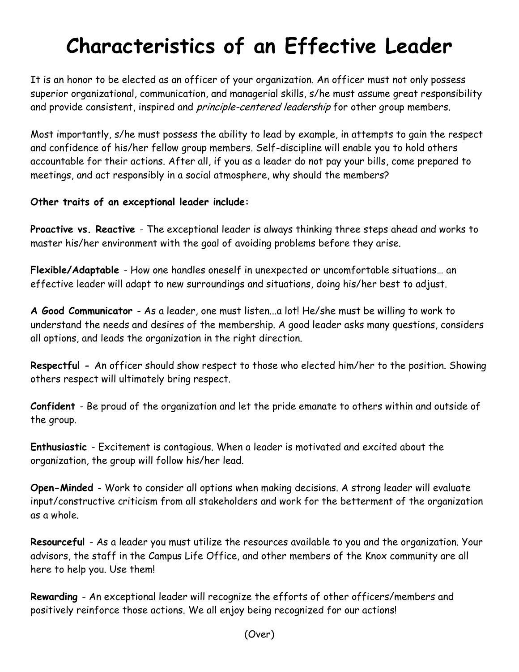## **Characteristics of an Effective Leader**

It is an honor to be elected as an officer of your organization. An officer must not only possess superior organizational, communication, and managerial skills, s/he must assume great responsibility and provide consistent, inspired and *principle-centered leadership* for other group members.

Most importantly, s/he must possess the ability to lead by example, in attempts to gain the respect and confidence of his/her fellow group members. Self-discipline will enable you to hold others accountable for their actions. After all, if you as a leader do not pay your bills, come prepared to meetings, and act responsibly in a social atmosphere, why should the members?

## **Other traits of an exceptional leader include:**

**Proactive vs. Reactive** - The exceptional leader is always thinking three steps ahead and works to master his/her environment with the goal of avoiding problems before they arise.

**Flexible/Adaptable** - How one handles oneself in unexpected or uncomfortable situations… an effective leader will adapt to new surroundings and situations, doing his/her best to adjust.

**A Good Communicator** - As a leader, one must listen...a lot! He/she must be willing to work to understand the needs and desires of the membership. A good leader asks many questions, considers all options, and leads the organization in the right direction.

**Respectful -** An officer should show respect to those who elected him/her to the position. Showing others respect will ultimately bring respect.

**Confident** - Be proud of the organization and let the pride emanate to others within and outside of the group.

**Enthusiastic** - Excitement is contagious. When a leader is motivated and excited about the organization, the group will follow his/her lead.

**Open-Minded** - Work to consider all options when making decisions. A strong leader will evaluate input/constructive criticism from all stakeholders and work for the betterment of the organization as a whole.

**Resourceful** - As a leader you must utilize the resources available to you and the organization. Your advisors, the staff in the Campus Life Office, and other members of the Knox community are all here to help you. Use them!

**Rewarding** - An exceptional leader will recognize the efforts of other officers/members and positively reinforce those actions. We all enjoy being recognized for our actions!